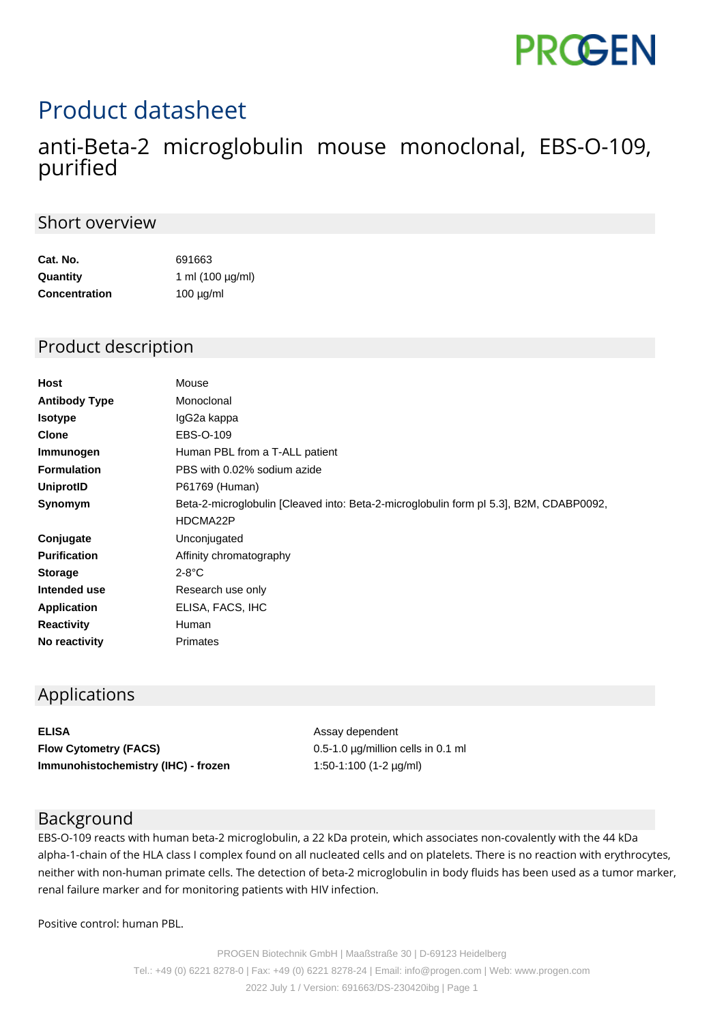# **PROGEN**

# Product datasheet

## anti-Beta-2 microglobulin mouse monoclonal, EBS-O-109, purified

#### Short overview

| Cat. No.             | 691663                |
|----------------------|-----------------------|
| Quantity             | 1 ml $(100 \mu g/ml)$ |
| <b>Concentration</b> | $100 \mu g/ml$        |

#### Product description

| Host                 | Mouse                                                                                  |
|----------------------|----------------------------------------------------------------------------------------|
| <b>Antibody Type</b> | Monoclonal                                                                             |
| <b>Isotype</b>       | IgG2a kappa                                                                            |
| <b>Clone</b>         | EBS-O-109                                                                              |
| Immunogen            | Human PBL from a T-ALL patient                                                         |
| <b>Formulation</b>   | PBS with 0.02% sodium azide                                                            |
| UniprotID            | P61769 (Human)                                                                         |
| Synomym              | Beta-2-microglobulin [Cleaved into: Beta-2-microglobulin form pl 5.3], B2M, CDABP0092, |
|                      | HDCMA22P                                                                               |
| Conjugate            | Unconjugated                                                                           |
| <b>Purification</b>  | Affinity chromatography                                                                |
| <b>Storage</b>       | $2-8$ °C                                                                               |
| Intended use         | Research use only                                                                      |
| <b>Application</b>   | ELISA, FACS, IHC                                                                       |
| <b>Reactivity</b>    | Human                                                                                  |
| No reactivity        | Primates                                                                               |

#### Applications

**ELISA** Assay dependent **Flow Cytometry (FACS)** 0.5-1.0 µg/million cells in 0.1 ml **Immunohistochemistry (IHC) - frozen** 1:50-1:100 (1-2 µg/ml)

#### Background

EBS-O-109 reacts with human beta-2 microglobulin, a 22 kDa protein, which associates non-covalently with the 44 kDa alpha-1-chain of the HLA class I complex found on all nucleated cells and on platelets. There is no reaction with erythrocytes, neither with non-human primate cells. The detection of beta-2 microglobulin in body fluids has been used as a tumor marker, renal failure marker and for monitoring patients with HIV infection.

Positive control: human PBL.